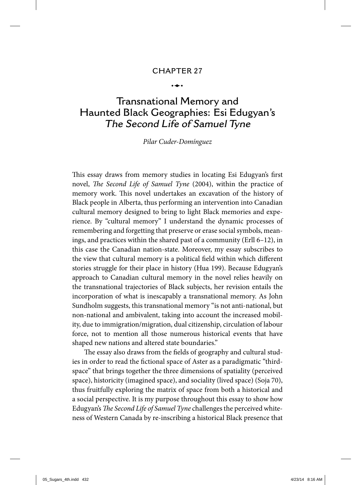# **CHAPTER 27** -

ويعدوا

## **Transnational Memory and Haunted Black Geographies: Esi Edugyan's The Second Life of Samuel Tyne**

#### Pilar Cuder-Domínguez

This essay draws from memory studies in locating Esi Edugyan's first novel, The Second Life of Samuel Tyne (2004), within the practice of memory work. This novel undertakes an excavation of the history of Black people in Alberta, thus performing an intervention into Canadian cultural memory designed to bring to light Black memories and experience. By "cultural memory" I understand the dynamic processes of remembering and forgetting that preserve or erase social symbols, meanings, and practices within the shared past of a community (Erll 6–12), in this case the Canadian nation-state. Moreover, my essay subscribes to the view that cultural memory is a political field within which different stories struggle for their place in history (Hua 199). Because Edugyan's approach to Canadian cultural memory in the novel relies heavily on the transnational trajectories of Black subjects, her revision entails the incorporation of what is inescapably a transnational memory. As John Sundholm suggests, this transnational memory "is not anti-national, but non-national and ambivalent, taking into account the increased mobility, due to immigration/migration, dual citizenship, circulation of labour force, not to mention all those numerous historical events that have shaped new nations and altered state boundaries."

The essay also draws from the fields of geography and cultural studies in order to read the fictional space of Aster as a paradigmatic "thirdspace" that brings together the three dimensions of spatiality (perceived space), historicity (imagined space), and sociality (lived space) (Soja 70), thus fruitfully exploring the matrix of space from both a historical and a social perspective. It is my purpose throughout this essay to show how Edugyan's The Second Life of Samuel Tyne challenges the perceived whiteness of Western Canada by re-inscribing a historical Black presence that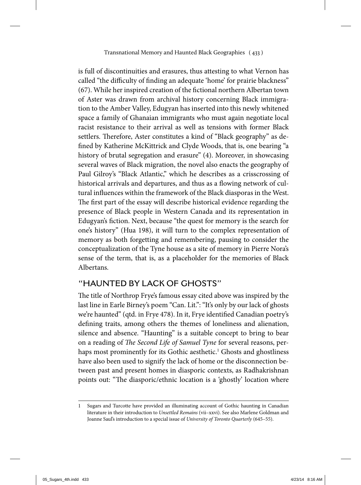is full of discontinuities and erasures, thus attesting to what Vernon has called "the difficulty of finding an adequate 'home' for prairie blackness" (67). While her inspired creation of the fictional northern Albertan town of Aster was drawn from archival history concerning Black immigration to the Amber Valley, Edugyan has inserted into this newly whitened space a family of Ghanaian immigrants who must again negotiate local racist resistance to their arrival as well as tensions with former Black settlers. Therefore, Aster constitutes a kind of "Black geography" as defined by Katherine McKittrick and Clyde Woods, that is, one bearing "a history of brutal segregation and erasure" (4). Moreover, in showcasing several waves of Black migration, the novel also enacts the geography of Paul Gilroy's "Black Atlantic," which he describes as a crisscrossing of historical arrivals and departures, and thus as a flowing network of cultural influences within the framework of the Black diasporas in the West. The first part of the essay will describe historical evidence regarding the presence of Black people in Western Canada and its representation in Edugyan's fiction. Next, because "the quest for memory is the search for one's history" (Hua 198), it will turn to the complex representation of memory as both forgetting and remembering, pausing to consider the conceptualization of the Tyne house as a site of memory in Pierre Nora's sense of the term, that is, as a placeholder for the memories of Black Albertans.

## **"HAUNTED BY LACK OF GHOSTS"**

The title of Northrop Frye's famous essay cited above was inspired by the last line in Earle Birney's poem "Can. Lit.": "It's only by our lack of ghosts we're haunted" (qtd. in Frye 478). In it, Frye identified Canadian poetry's defining traits, among others the themes of loneliness and alienation, silence and absence. "Haunting" is a suitable concept to bring to bear on a reading of The Second Life of Samuel Tyne for several reasons, perhaps most prominently for its Gothic aesthetic.<sup>1</sup> Ghosts and ghostliness have also been used to signify the lack of home or the disconnection between past and present homes in diasporic contexts, as Radhakrishnan points out: "The diasporic/ethnic location is a 'ghostly' location where

<sup>1</sup> Sugars and Turcotte have provided an illuminating account of Gothic haunting in Canadian literature in their introduction to Unsettled Remains (vii–xxvi). See also Marlene Goldman and Joanne Saul's introduction to a special issue of University of Toronto Quarterly (645–55).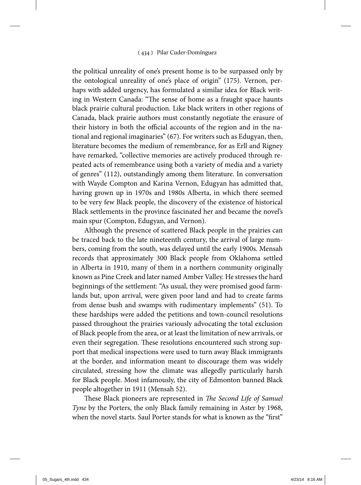the political unreality of one's present home is to be surpassed only by the ontological unreality of one's place of origin" (175). Vernon, perhaps with added urgency, has formulated a similar idea for Black writing in Western Canada: "The sense of home as a fraught space haunts black prairie cultural production. Like black writers in other regions of Canada, black prairie authors must constantly negotiate the erasure of their history in both the official accounts of the region and in the national and regional imaginaries" (67). For writers such as Edugyan, then, literature becomes the medium of remembrance, for as Erll and Rigney have remarked, "collective memories are actively produced through repeated acts of remembrance using both a variety of media and a variety of genres" (112), outstandingly among them literature. In conversation with Wayde Compton and Karina Vernon, Edugyan has admitted that, having grown up in 1970s and 1980s Alberta, in which there seemed to be very few Black people, the discovery of the existence of historical Black settlements in the province fascinated her and became the novel's main spur (Compton, Edugyan, and Vernon).

Although the presence of scattered Black people in the prairies can be traced back to the late nineteenth century, the arrival of large numbers, coming from the south, was delayed until the early 1900s. Mensah records that approximately 300 Black people from Oklahoma settled in Alberta in 1910, many of them in a northern community originally known as Pine Creek and later named Amber Valley. He stresses the hard beginnings of the settlement: "As usual, they were promised good farmlands but, upon arrival, were given poor land and had to create farms from dense bush and swamps with rudimentary implements" (51). To these hardships were added the petitions and town-council resolutions passed throughout the prairies variously advocating the total exclusion of Black people from the area, or at least the limitation of new arrivals, or even their segregation. These resolutions encountered such strong support that medical inspections were used to turn away Black immigrants at the border, and information meant to discourage them was widely circulated, stressing how the climate was allegedly particularly harsh for Black people. Most infamously, the city of Edmonton banned Black people altogether in 1911 (Mensah 52).

These Black pioneers are represented in The Second Life of Samuel Tyne by the Porters, the only Black family remaining in Aster by 1968, when the novel starts. Saul Porter stands for what is known as the "first"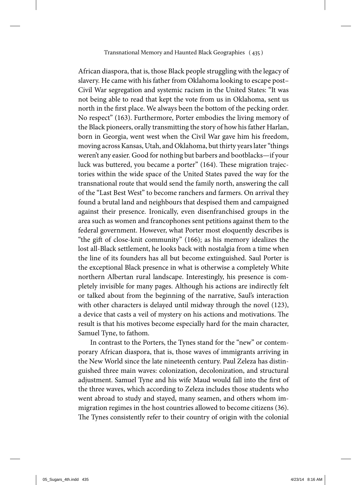African diaspora, that is, those Black people struggling with the legacy of slavery. He came with his father from Oklahoma looking to escape post– Civil War segregation and systemic racism in the United States: "It was not being able to read that kept the vote from us in Oklahoma, sent us north in the first place. We always been the bottom of the pecking order. No respect" (163). Furthermore, Porter embodies the living memory of the Black pioneers, orally transmitting the story of how his father Harlan, born in Georgia, went west when the Civil War gave him his freedom, moving across Kansas, Utah, and Oklahoma, but thirty years later "things weren't any easier. Good for nothing but barbers and bootblacks—if your luck was buttered, you became a porter" (164). These migration trajectories within the wide space of the United States paved the way for the transnational route that would send the family north, answering the call of the "Last Best West" to become ranchers and farmers. On arrival they found a brutal land and neighbours that despised them and campaigned against their presence. Ironically, even disenfranchised groups in the area such as women and francophones sent petitions against them to the federal government. However, what Porter most eloquently describes is "the gift of close-knit community" (166); as his memory idealizes the lost all-Black settlement, he looks back with nostalgia from a time when the line of its founders has all but become extinguished. Saul Porter is the exceptional Black presence in what is otherwise a completely White northern Albertan rural landscape. Interestingly, his presence is completely invisible for many pages. Although his actions are indirectly felt or talked about from the beginning of the narrative, Saul's interaction with other characters is delayed until midway through the novel (123), a device that casts a veil of mystery on his actions and motivations. The result is that his motives become especially hard for the main character, Samuel Tyne, to fathom.

In contrast to the Porters, the Tynes stand for the "new" or contemporary African diaspora, that is, those waves of immigrants arriving in the New World since the late nineteenth century. Paul Zeleza has distinguished three main waves: colonization, decolonization, and structural adjustment. Samuel Tyne and his wife Maud would fall into the first of the three waves, which according to Zeleza includes those students who went abroad to study and stayed, many seamen, and others whom immigration regimes in the host countries allowed to become citizens (36). The Tynes consistently refer to their country of origin with the colonial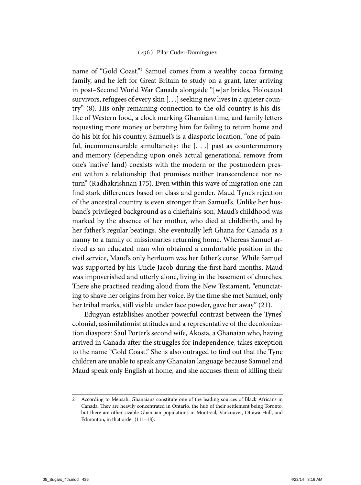name of "Gold Coast."<sup>2</sup> Samuel comes from a wealthy cocoa farming family, and he left for Great Britain to study on a grant, later arriving in post–Second World War Canada alongside "[w]ar brides, Holocaust survivors, refugees of every skin [. . .] seeking new lives in a quieter country" (8). His only remaining connection to the old country is his dislike of Western food, a clock marking Ghanaian time, and family letters requesting more money or berating him for failing to return home and do his bit for his country. Samuel's is a diasporic location, "one of painful, incommensurable simultaneity: the  $[$ .  $]$ .  $]$  past as countermemory and memory (depending upon one's actual generational remove from one's 'native' land) coexists with the modern or the postmodern present within a relationship that promises neither transcendence nor return" (Radhakrishnan 175). Even within this wave of migration one can find stark differences based on class and gender. Maud Tyne's rejection of the ancestral country is even stronger than Samuel's. Unlike her husband's privileged background as a chieftain's son, Maud's childhood was marked by the absence of her mother, who died at childbirth, and by her father's regular beatings. She eventually left Ghana for Canada as a nanny to a family of missionaries returning home. Whereas Samuel arrived as an educated man who obtained a comfortable position in the civil service, Maud's only heirloom was her father's curse. While Samuel was supported by his Uncle Jacob during the first hard months, Maud was impoverished and utterly alone, living in the basement of churches. There she practised reading aloud from the New Testament, "enunciating to shave her origins from her voice. By the time she met Samuel, only her tribal marks, still visible under face powder, gave her away" (21).

Edugyan establishes another powerful contrast between the Tynes' colonial, assimilationist attitudes and a representative of the decolonization diaspora: Saul Porter's second wife, Akosia, a Ghanaian who, having arrived in Canada after the struggles for independence, takes exception to the name "Gold Coast." She is also outraged to find out that the Tyne children are unable to speak any Ghanaian language because Samuel and Maud speak only English at home, and she accuses them of killing their

<sup>2</sup> According to Mensah, Ghanaians constitute one of the leading sources of Black Africans in Canada. They are heavily concentrated in Ontario, the hub of their settlement being Toronto, but there are other sizable Ghanaian populations in Montreal, Vancouver, Ottawa-Hull, and Edmonton, in that order (111–18).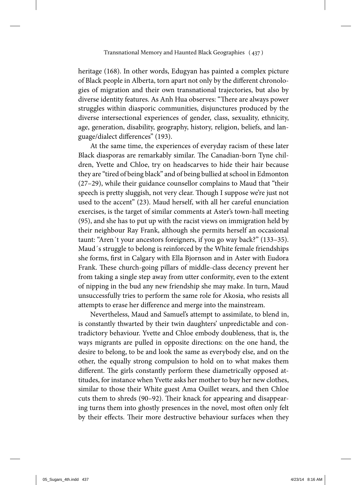heritage (168). In other words, Edugyan has painted a complex picture of Black people in Alberta, torn apart not only by the different chronologies of migration and their own transnational trajectories, but also by diverse identity features. As Anh Hua observes: "There are always power struggles within diasporic communities, disjunctures produced by the diverse intersectional experiences of gender, class, sexuality, ethnicity, age, generation, disability, geography, history, religion, beliefs, and language/dialect differences" (193).

At the same time, the experiences of everyday racism of these later Black diasporas are remarkably similar. The Canadian-born Tyne children, Yvette and Chloe, try on headscarves to hide their hair because they are "tired of being black" and of being bullied at school in Edmonton (27–29), while their guidance counsellor complains to Maud that "their speech is pretty sluggish, not very clear. Though I suppose we're just not used to the accent" (23). Maud herself, with all her careful enunciation exercises, is the target of similar comments at Aster's town-hall meeting (95), and she has to put up with the racist views on immigration held by their neighbour Ray Frank, although she permits herself an occasional taunt: "Aren´t your ancestors foreigners, if you go way back?" (133–35). Maud´s struggle to belong is reinforced by the White female friendships she forms, first in Calgary with Ella Bjornson and in Aster with Eudora Frank. These church-going pillars of middle-class decency prevent her from taking a single step away from utter conformity, even to the extent of nipping in the bud any new friendship she may make. In turn, Maud unsuccessfully tries to perform the same role for Akosia, who resists all attempts to erase her difference and merge into the mainstream.

Nevertheless, Maud and Samuel's attempt to assimilate, to blend in, is constantly thwarted by their twin daughters' unpredictable and contradictory behaviour. Yvette and Chloe embody doubleness, that is, the ways migrants are pulled in opposite directions: on the one hand, the desire to belong, to be and look the same as everybody else, and on the other, the equally strong compulsion to hold on to what makes them different. The girls constantly perform these diametrically opposed attitudes, for instance when Yvette asks her mother to buy her new clothes, similar to those their White guest Ama Ouillet wears, and then Chloe cuts them to shreds (90-92). Their knack for appearing and disappearing turns them into ghostly presences in the novel, most often only felt by their effects. Their more destructive behaviour surfaces when they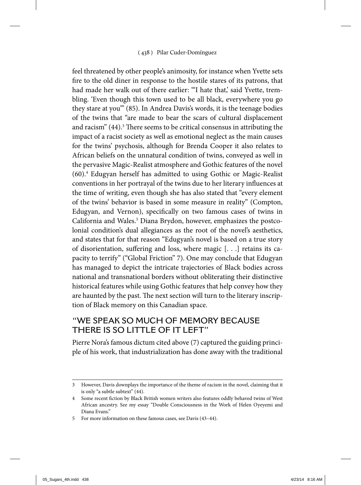feel threatened by other people's animosity, for instance when Yvette sets fire to the old diner in response to the hostile stares of its patrons, that had made her walk out of there earlier: ""I hate that,' said Yvette, trembling. 'Even though this town used to be all black, everywhere you go they stare at you'" (85). In Andrea Davis's words, it is the teenage bodies of the twins that "are made to bear the scars of cultural displacement and racism" (44).<sup>3</sup> There seems to be critical consensus in attributing the impact of a racist society as well as emotional neglect as the main causes for the twins' psychosis, although for Brenda Cooper it also relates to African beliefs on the unnatural condition of twins, conveyed as well in the pervasive Magic-Realist atmosphere and Gothic features of the novel (60).<sup>4</sup> Edugyan herself has admitted to using Gothic or Magic-Realist conventions in her portrayal of the twins due to her literary influences at the time of writing, even though she has also stated that "every element of the twins' behavior is based in some measure in reality" (Compton, Edugyan, and Vernon), specifically on two famous cases of twins in California and Wales.<sup>5</sup> Diana Brydon, however, emphasizes the postcolonial condition's dual allegiances as the root of the novel's aesthetics, and states that for that reason "Edugyan's novel is based on a true story of disorientation, suffering and loss, where magic  $[$ .  $]$ . retains its capacity to terrify" ("Global Friction" 7). One may conclude that Edugyan has managed to depict the intricate trajectories of Black bodies across national and transnational borders without obliterating their distinctive historical features while using Gothic features that help convey how they are haunted by the past. The next section will turn to the literary inscription of Black memory on this Canadian space.

### **"WE SPEAK SO MUCH OF MEMORY BECAUSE THERE IS SO LITTLE OF IT LEFT"**

Pierre Nora's famous dictum cited above (7) captured the guiding principle of his work, that industrialization has done away with the traditional

<sup>3</sup> However, Davis downplays the importance of the theme of racism in the novel, claiming that it is only "a subtle subtext" (44).

<sup>4</sup> Some recent fiction by Black British women writers also features oddly behaved twins of West African ancestry. See my essay "Double Consciousness in the Work of Helen Oyeyemi and Diana Evans."

<sup>5</sup> For more information on these famous cases, see Davis (43–44).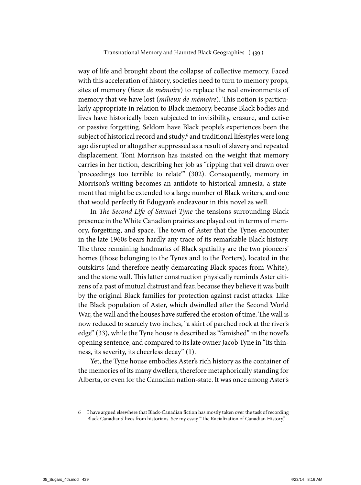way of life and brought about the collapse of collective memory. Faced with this acceleration of history, societies need to turn to memory props, sites of memory (lieux de mémoire) to replace the real environments of memory that we have lost (*milieux de mémoire*). This notion is particularly appropriate in relation to Black memory, because Black bodies and lives have historically been subjected to invisibility, erasure, and active or passive forgetting. Seldom have Black people's experiences been the subject of historical record and study, $^6$  and traditional lifestyles were long ago disrupted or altogether suppressed as a result of slavery and repeated displacement. Toni Morrison has insisted on the weight that memory carries in her fiction, describing her job as "ripping that veil drawn over 'proceedings too terrible to relate'" (302). Consequently, memory in Morrison's writing becomes an antidote to historical amnesia, a statement that might be extended to a large number of Black writers, and one that would perfectly fit Edugyan's endeavour in this novel as well.

In The Second Life of Samuel Tyne the tensions surrounding Black presence in the White Canadian prairies are played out in terms of memory, forgetting, and space. The town of Aster that the Tynes encounter in the late 1960s bears hardly any trace of its remarkable Black history. The three remaining landmarks of Black spatiality are the two pioneers' homes (those belonging to the Tynes and to the Porters), located in the outskirts (and therefore neatly demarcating Black spaces from White), and the stone wall. This latter construction physically reminds Aster citizens of a past of mutual distrust and fear, because they believe it was built by the original Black families for protection against racist attacks. Like the Black population of Aster, which dwindled after the Second World War, the wall and the houses have suffered the erosion of time. The wall is now reduced to scarcely two inches, "a skirt of parched rock at the river's edge" (33), while the Tyne house is described as "famished" in the novel's opening sentence, and compared to its late owner Jacob Tyne in "its thinness, its severity, its cheerless decay" (1).

Yet, the Tyne house embodies Aster's rich history as the container of the memories of its many dwellers, therefore metaphorically standing for Alberta, or even for the Canadian nation-state. It was once among Aster's

<sup>6</sup> I have argued elsewhere that Black-Canadian fiction has mostly taken over the task of recording Black Canadians' lives from historians. See my essay "The Racialization of Canadian History."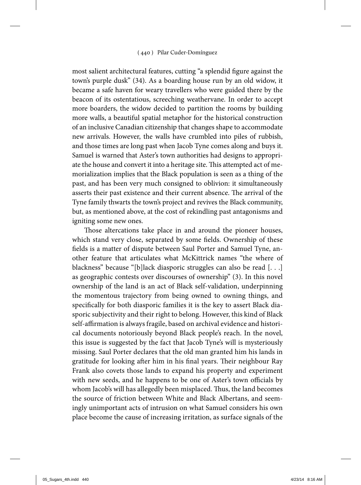most salient architectural features, cutting "a splendid figure against the town's purple dusk" (34). As a boarding house run by an old widow, it became a safe haven for weary travellers who were guided there by the beacon of its ostentatious, screeching weathervane. In order to accept more boarders, the widow decided to partition the rooms by building more walls, a beautiful spatial metaphor for the historical construction of an inclusive Canadian citizenship that changes shape to accommodate new arrivals. However, the walls have crumbled into piles of rubbish, and those times are long past when Jacob Tyne comes along and buys it. Samuel is warned that Aster's town authorities had designs to appropriate the house and convert it into a heritage site. This attempted act of memorialization implies that the Black population is seen as a thing of the past, and has been very much consigned to oblivion: it simultaneously asserts their past existence and their current absence. The arrival of the Tyne family thwarts the town's project and revives the Black community, but, as mentioned above, at the cost of rekindling past antagonisms and igniting some new ones.

Those altercations take place in and around the pioneer houses, which stand very close, separated by some fields. Ownership of these fields is a matter of dispute between Saul Porter and Samuel Tyne, another feature that articulates what McKittrick names "the where of blackness" because "[b]lack diasporic struggles can also be read [. . .] as geographic contests over discourses of ownership" (3). In this novel ownership of the land is an act of Black self-validation, underpinning the momentous trajectory from being owned to owning things, and specifically for both diasporic families it is the key to assert Black diasporic subjectivity and their right to belong. However, this kind of Black self-affirmation is always fragile, based on archival evidence and historical documents notoriously beyond Black people's reach. In the novel, this issue is suggested by the fact that Jacob Tyne's will is mysteriously missing. Saul Porter declares that the old man granted him his lands in gratitude for looking after him in his final years. Their neighbour Ray Frank also covets those lands to expand his property and experiment with new seeds, and he happens to be one of Aster's town officials by whom Jacob's will has allegedly been misplaced. Thus, the land becomes the source of friction between White and Black Albertans, and seemingly unimportant acts of intrusion on what Samuel considers his own place become the cause of increasing irritation, as surface signals of the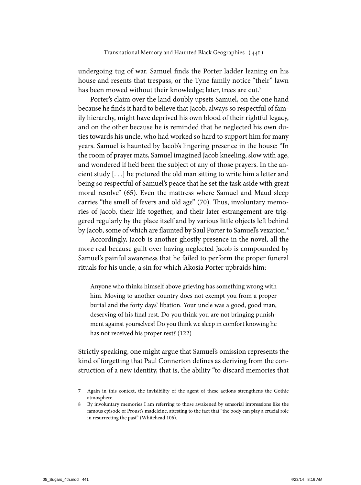undergoing tug of war. Samuel finds the Porter ladder leaning on his house and resents that trespass, or the Tyne family notice "their" lawn has been mowed without their knowledge; later, trees are cut.<sup>7</sup>

Porter's claim over the land doubly upsets Samuel, on the one hand because he finds it hard to believe that Jacob, always so respectful of family hierarchy, might have deprived his own blood of their rightful legacy, and on the other because he is reminded that he neglected his own duties towards his uncle, who had worked so hard to support him for many years. Samuel is haunted by Jacob's lingering presence in the house: "In the room of prayer mats, Samuel imagined Jacob kneeling, slow with age, and wondered if he'd been the subject of any of those prayers. In the ancient study [. . .] he pictured the old man sitting to write him a letter and being so respectful of Samuel's peace that he set the task aside with great moral resolve" (65). Even the mattress where Samuel and Maud sleep carries "the smell of fevers and old age" (70). Thus, involuntary memories of Jacob, their life together, and their later estrangement are triggered regularly by the place itself and by various little objects left behind by Jacob, some of which are flaunted by Saul Porter to Samuel's vexation.<sup>8</sup>

Accordingly, Jacob is another ghostly presence in the novel, all the more real because guilt over having neglected Jacob is compounded by Samuel's painful awareness that he failed to perform the proper funeral rituals for his uncle, a sin for which Akosia Porter upbraids him:

Anyone who thinks himself above grieving has something wrong with him. Moving to another country does not exempt you from a proper burial and the forty days' libation. Your uncle was a good, good man, deserving of his final rest. Do you think you are not bringing punishment against yourselves? Do you think we sleep in comfort knowing he has not received his proper rest? (122)

Strictly speaking, one might argue that Samuel's omission represents the kind of forgetting that Paul Connerton defines as deriving from the construction of a new identity, that is, the ability "to discard memories that

<sup>7</sup> Again in this context, the invisibility of the agent of these actions strengthens the Gothic atmosphere.

<sup>8</sup> By involuntary memories I am referring to those awakened by sensorial impressions like the famous episode of Proust's madeleine, attesting to the fact that "the body can play a crucial role in resurrecting the past" (Whitehead 106).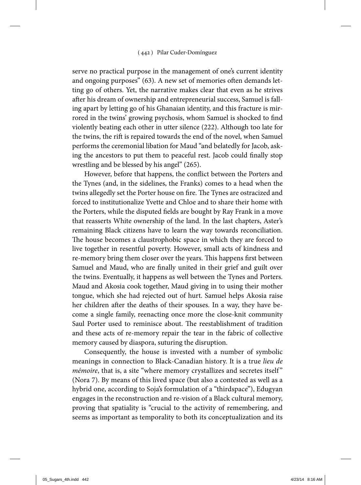serve no practical purpose in the management of one's current identity and ongoing purposes" (63). A new set of memories often demands letting go of others. Yet, the narrative makes clear that even as he strives after his dream of ownership and entrepreneurial success, Samuel is falling apart by letting go of his Ghanaian identity, and this fracture is mirrored in the twins' growing psychosis, whom Samuel is shocked to find violently beating each other in utter silence (222). Although too late for the twins, the rift is repaired towards the end of the novel, when Samuel performs the ceremonial libation for Maud "and belatedly for Jacob, asking the ancestors to put them to peaceful rest. Jacob could finally stop wrestling and be blessed by his angel" (265).

However, before that happens, the conflict between the Porters and the Tynes (and, in the sidelines, the Franks) comes to a head when the twins allegedly set the Porter house on fire. The Tynes are ostracized and forced to institutionalize Yvette and Chloe and to share their home with the Porters, while the disputed fields are bought by Ray Frank in a move that reasserts White ownership of the land. In the last chapters, Aster's remaining Black citizens have to learn the way towards reconciliation. The house becomes a claustrophobic space in which they are forced to live together in resentful poverty. However, small acts of kindness and re-memory bring them closer over the years. This happens first between Samuel and Maud, who are finally united in their grief and guilt over the twins. Eventually, it happens as well between the Tynes and Porters. Maud and Akosia cook together, Maud giving in to using their mother tongue, which she had rejected out of hurt. Samuel helps Akosia raise her children after the deaths of their spouses. In a way, they have become a single family, reenacting once more the close-knit community Saul Porter used to reminisce about. The reestablishment of tradition and these acts of re-memory repair the tear in the fabric of collective memory caused by diaspora, suturing the disruption.

Consequently, the house is invested with a number of symbolic meanings in connection to Black-Canadian history. It is a true lieu de mémoire, that is, a site "where memory crystallizes and secretes itself" (Nora 7). By means of this lived space (but also a contested as well as a hybrid one, according to Soja's formulation of a "thirdspace"), Edugyan engages in the reconstruction and re-vision of a Black cultural memory, proving that spatiality is "crucial to the activity of remembering, and seems as important as temporality to both its conceptualization and its